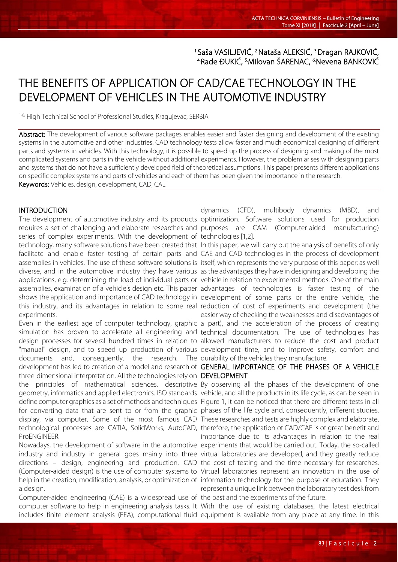<sup>1.</sup>Saša VASILJEVIĆ, <sup>2</sup>Nataša ALEKSIĆ, <sup>3.</sup>Dragan RAJKOVIĆ, <sup>4</sup>Rade ĐUKIĆ, <sup>5.</sup>Milovan ŠARENAC, <sup>6.</sup>Nevena BANKOVIĆ

# THE BENEFITS OF APPLICATION OF CAD/CAE TECHNOLOGY IN THE DEVELOPMENT OF VEHICLES IN THE AUTOMOTIVE INDUSTRY

1-6. High Technical School of Professional Studies, Kragujevac, SERBIA

Abstract: The development of various software packages enables easier and faster designing and development of the existing systems in the automotive and other industries. CAD technology tests allow faster and much economical designing of different parts and systems in vehicles. With this technology, it is possible to speed up the process of designing and making of the most complicated systems and parts in the vehicle without additional experiments. However, the problem arises with designing parts and systems that do not have a sufficiently developed field of theoretical assumptions. This paper presents different applications on specific complex systems and parts of vehicles and each of them has been given the importance in the research. Keywords: Vehicles, design, development, CAD, CAE

#### **INTRODUCTION**

The development of automotive industry and its products optimization. Software solutions used for production requires a set of challenging and elaborate researches and series of complex experiments. With the development of technology, many software solutions have been created that

facilitate and enable faster testing of certain parts and assemblies in vehicles. The use of these software solutions is diverse, and in the automotive industry they have various applications, e.g. determining the load of individual parts or assemblies, examination of a vehicle's design etc. This paper shows the application and importance of CAD technology in this industry, and its advantages in relation to some real experiments.

Even in the earliest age of computer technology, graphic simulation has proven to accelerate all engineering and design processes for several hundred times in relation to "manual" design, and to speed up production of various documents and, consequently, the research. The development has led to creation of a model and research of three-dimensional interpretation. All the technologies rely on the principles of mathematical sciences, descriptive geometry, informatics and applied electronics. ISO standards define computer graphics as a set of methods and techniques for converting data that are sent to or from the graphic display, via computer. Some of the most famous CAD technological processes are CATIA, SolidWorks, AutoCAD, ProENGINEER.

Nowadays, the development of software in the automotive industry and industry in general goes mainly into three directions – design, engineering and production. CAD (Computer-aided design) is the use of computer systems to help in the creation, modification, analysis, or optimization of a design.

Computer-aided engineering (CAE) is a widespread use of computer software to help in engineering analysis tasks. It

dynamics (CFD), multibody dynamics (MBD), and purposes are CAM (Computer-aided manufacturing) technologies [1,2].

In this paper, we will carry out the analysis of benefits of only CAE and CAD technologies in the process of development itself, which represents the very purpose of this paper; as well as the advantages they have in designing and developing the vehicle in relation to experimental methods. One of the main advantages of technologies is faster testing of the development of some parts or the entire vehicle, the reduction of cost of experiments and development (the easier way of checking the weaknesses and disadvantages of a part), and the acceleration of the process of creating technical documentation. The use of technologies has allowed manufacturers to reduce the cost and product development time, and to improve safety, comfort and durability of the vehicles they manufacture.

# GENERAL IMPORTANCE OF THE PHASES OF A VEHICLE DEVELOPMENT

By observing all the phases of the development of one vehicle, and all the products in its life cycle, as can be seen in Figure 1, it can be noticed that there are different tests in all phases of the life cycle and, consequently, different studies. These researches and tests are highly complex and elaborate, therefore, the application of CAD/CAE is of great benefit and importance due to its advantages in relation to the real experiments that would be carried out. Today, the so-called virtual laboratories are developed, and they greatly reduce the cost of testing and the time necessary for researches. Virtual laboratories represent an innovation in the use of information technology for the purpose of education. They represent a unique link between the laboratory test desk from the past and the experiments of the future.

includes finite element analysis (FEA), computational fluid|equipment is available from any place at any time. In this With the use of existing databases, the latest electrical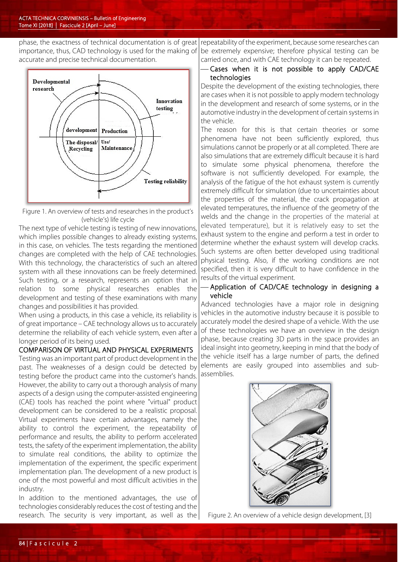phase, the exactness of technical documentation is of great importance, thus, CAD technology is used for the making of accurate and precise technical documentation.



Figure 1. An overview of tests and researches in the product's (vehicle's) life cycle

The next type of vehicle testing is testing of new innovations, which implies possible changes to already existing systems, in this case, on vehicles. The tests regarding the mentioned changes are completed with the help of CAE technologies. With this technology, the characteristics of such an altered system with all these innovations can be freely determined. Such testing, or a research, represents an option that in relation to some physical researches enables the development and testing of these examinations with many changes and possibilities it has provided.

When using a products, in this case a vehicle, its reliability is of great importance – CAE technology allows us to accurately determine the reliability of each vehicle system, even after a longer period of its being used.

#### COMPARISON OF VIRTUAL AND PHYSICAL EXPERIMENTS

Testing was an important part of product development in the past. The weaknesses of a design could be detected by testing before the product came into the customer's hands. However, the ability to carry out a thorough analysis of many aspects of a design using the computer-assisted engineering (CAE) tools has reached the point where "virtual" product development can be considered to be a realistic proposal. Virtual experiments have certain advantages, namely the ability to control the experiment, the repeatability of performance and results, the ability to perform accelerated tests, the safety of the experiment implementation, the ability to simulate real conditions, the ability to optimize the implementation of the experiment, the specific experiment implementation plan. The development of a new product is one of the most powerful and most difficult activities in the industry.

In addition to the mentioned advantages, the use of technologies considerably reduces the cost of testing and the research. The security is very important, as well as the

repeatability of the experiment, because some researches can be extremely expensive; therefore physical testing can be carried once, and with CAE technology it can be repeated.

# Cases when it is not possible to apply CAD/CAE technologies

Despite the development of the existing technologies, there are cases when it is not possible to apply modern technology in the development and research of some systems, or in the automotive industry in the development of certain systems in the vehicle.

The reason for this is that certain theories or some phenomena have not been sufficiently explored, thus simulations cannot be properly or at all completed. There are also simulations that are extremely difficult because it is hard to simulate some physical phenomena, therefore the software is not sufficiently developed. For example, the analysis of the fatigue of the hot exhaust system is currently extremely difficult for simulation (due to uncertainties about the properties of the material, the crack propagation at elevated temperatures, the influence of the geometry of the welds and the change in the properties of the material at elevated temperature), but it is relatively easy to set the exhaust system to the engine and perform a test in order to determine whether the exhaust system will develop cracks. Such systems are often better developed using traditional physical testing. Also, if the working conditions are not specified, then it is very difficult to have confidence in the results of the virtual experiment.

#### Application of CAD/CAE technology in designing a vehicle

Advanced technologies have a major role in designing vehicles in the automotive industry because it is possible to accurately model the desired shape of a vehicle. With the use of these technologies we have an overview in the design phase, because creating 3D parts in the space provides an ideal insight into geometry, keeping in mind that the body of the vehicle itself has a large number of parts, the defined elements are easily grouped into assemblies and subassemblies.



Figure 2. An overview of a vehicle design development, [3]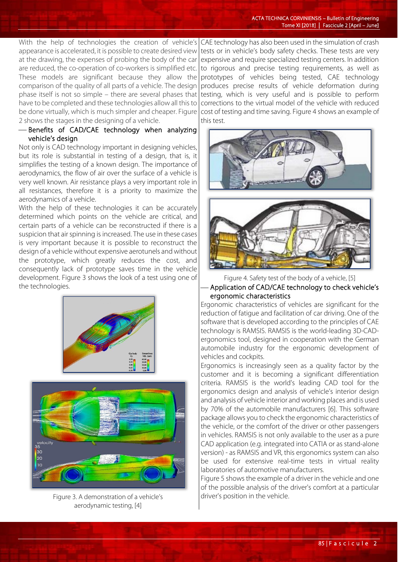With the help of technologies the creation of vehicle's appearance is accelerated, it is possible to create desired view at the drawing, the expenses of probing the body of the car are reduced, the co-operation of co-workers is simplified etc. These models are significant because they allow the comparison of the quality of all parts of a vehicle. The design phase itself is not so simple – there are several phases that have to be completed and these technologies allow all this to be done virtually, which is much simpler and cheaper. Figure 2 shows the stages in the designing of a vehicle.

 Benefits of CAD/CAE technology when analyzing vehicle's design

Not only is CAD technology important in designing vehicles, but its role is substantial in testing of a design, that is, it simplifies the testing of a known design. The importance of aerodynamics, the flow of air over the surface of a vehicle is very well known. Air resistance plays a very important role in all resistances, therefore it is a priority to maximize the aerodynamics of a vehicle.

With the help of these technologies it can be accurately determined which points on the vehicle are critical, and certain parts of a vehicle can be reconstructed if there is a suspicion that air spinning is increased. The use in these cases is very important because it is possible to reconstruct the design of a vehicle without expensive aerotunels and without the prototype, which greatly reduces the cost, and consequently lack of prototype saves time in the vehicle development. Figure 3 shows the look of a test using one of the technologies.





Figure 3. A demonstration of a vehicle's aerodynamic testing, [4]

CAE technology has also been used in the simulation of crash tests or in vehicle's body safety checks. These tests are very expensive and require specialized testing centers. In addition to rigorous and precise testing requirements, as well as prototypes of vehicles being tested, CAE technology produces precise results of vehicle deformation during testing, which is very useful and is possible to perform corrections to the virtual model of the vehicle with reduced cost of testing and time saving. Figure 4 shows an example of this test.





Figure 4. Safety test of the body of a vehicle, [5] Application of CAD/CAE technology to check vehicle's ergonomic characteristics

Ergonomic characteristics of vehicles are significant for the reduction of fatigue and facilitation of car driving. One of the software that is developed according to the principles of CAE technology is RAMSIS. RAMSIS is the world-leading 3D-CADergonomics tool, designed in cooperation with the German automobile industry for the ergonomic development of vehicles and cockpits.

Ergonomics is increasingly seen as a quality factor by the customer and it is becoming a significant differentiation criteria. RAMSIS is the world's leading CAD tool for the ergonomics design and analysis of vehicle's interior design and analysis of vehicle interior and working places and is used by 70% of the automobile manufacturers [6]. This software package allows you to check the ergonomic characteristics of the vehicle, or the comfort of the driver or other passengers in vehicles. RAMSIS is not only available to the user as a pure CAD application (e.g. integrated into CATIA or as stand-alone version) - as RAMSIS and VR, this ergonomics system can also be used for extensive real-time tests in virtual reality laboratories of automotive manufacturers.

Figure 5 shows the example of a driver in the vehicle and one of the possible analysis of the driver's comfort at a particular driver's position in the vehicle.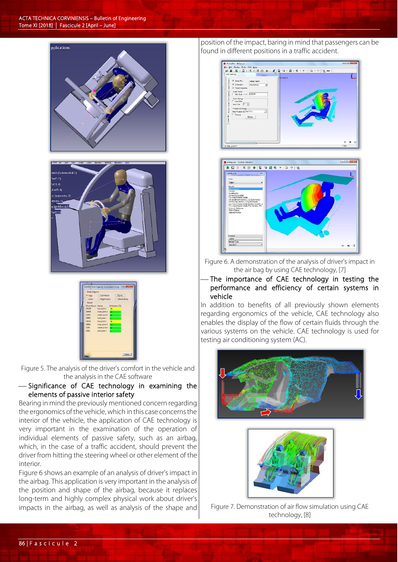



Figure 5. The analysis of the driver's comfort in the vehicle and the analysis in the CAE software

## Significance of CAE technology in examining the elements of passive interior safety

Bearing in mind the previously mentioned concern regarding the ergonomics of the vehicle, which in this case concerns the interior of the vehicle, the application of CAE technology is very important in the examination of the operation of individual elements of passive safety, such as an airbag, which, in the case of a traffic accident, should prevent the driver from hitting the steering wheel or other element of the interior.

Figure 6 shows an example of an analysis of driver's impact in the airbag. This application is very important in the analysis of the position and shape of the airbag, because it replaces long-term and highly complex physical work about driver's impacts in the airbag, as well as analysis of the shape and

position of the impact, baring in mind that passengers can be found in different positions in a traffic accident.





Figure 6. A demonstration of the analysis of driver's impact in the air bag by using CAE technology, [7]

# The importance of CAE technology in testing the performance and efficiency of certain systems in vehicle

In addition to benefits of all previously shown elements regarding ergonomics of the vehicle, CAE technology also enables the display of the flow of certain fluids through the various systems on the vehicle. CAE technology is used for testing air conditioning system (AC).





Figure 7. Demonstration of air flow simulation using CAE technology, [8]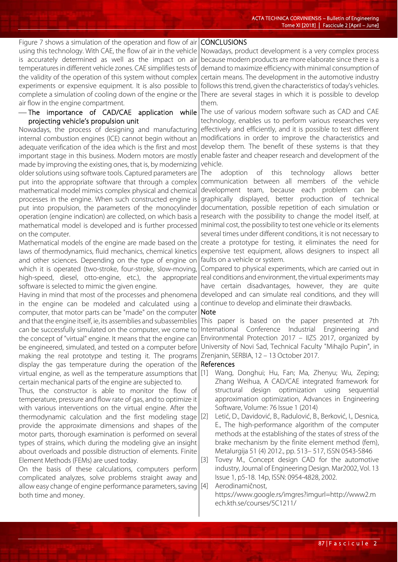#### Figure 7 shows a simulation of the operation and flow of air CONCLUSIONS

using this technology. With CAE, the flow of air in the vehicle is accurately determined as well as the impact on air temperatures in different vehicle zones. CAE simplifies tests of the validity of the operation of this system without complex experiments or expensive equipment. It is also possible to complete a simulation of cooling down of the engine or the air flow in the engine compartment.

#### The importance of CAD/CAE application while projecting vehicle's propulsion unit

Nowadays, the process of designing and manufacturing internal combustion engines (ICE) cannot begin without an adequate verification of the idea which is the first and most important stage in this business. Modern motors are mostly made by improving the existing ones, that is, by modernizing older solutions using software tools. Captured parameters are put into the appropriate software that through a complex mathematical model mimics complex physical and chemical processes in the engine. When such constructed engine is put into propulsion, the parameters of the monocylinder operation (engine indication) are collected, on which basis a mathematical model is developed and is further processed on the computer.

Mathematical models of the engine are made based on the laws of thermodynamics, fluid mechanics, chemical kinetics and other sciences. Depending on the type of engine on which it is operated (two-stroke, four-stroke, slow-moving, high-speed, diesel, otto-engine, etc.), the appropriate software is selected to mimic the given engine.

Having in mind that most of the processes and phenomena in the engine can be modeled and calculated using a computer, that motor parts can be "made" on the computer and that the engine itself, ie, its assemblies and subassemblies can be successfully simulated on the computer, we come to the concept of "virtual" engine. It means that the engine can be engineered, simulated, and tested on a computer before making the real prototype and testing it. The programs display the gas temperature during the operation of the virtual engine, as well as the temperature assumptions that [1] Wang, Donghui; Hu, Fan; Ma, Zhenyu; Wu, Zeping; certain mechanical parts of the engine are subjected to.

Thus, the constructor is able to monitor the flow of temperature, pressure and flow rate of gas, and to optimize it with various interventions on the virtual engine. After the thermodynamic calculation and the first modeling stage  $[2]$ provide the approximate dimensions and shapes of the motor parts, thorough examination is performed on several types of strains, which during the modeling give an insight about overloads and possible distruction of elements. Finite Element Methods (FEMs) are used today.

On the basis of these calculations, computers perform complicated analyzes, solve problems straight away and allow easy change of engine performance parameters, saving [4] both time and money.

Nowadays, product development is a very complex process because modern products are more elaborate since there is a demand to maximize efficiency with minimal consumption of certain means. The development in the automotive industry follows this trend, given the characteristics of today's vehicles. There are several stages in which it is possible to develop them.

The use of various modern software such as CAD and CAE technology, enables us to perform various researches very effectively and efficiently, and it is possible to test different modifications in order to improve the characteristics and develop them. The benefit of these systems is that they enable faster and cheaper research and development of the vehicle.

The adoption of this technology allows better communication between all members of the vehicle development team, because each problem can be graphically displayed, better production of technical documentation, possible repetition of each simulation or research with the possibility to change the model itself, at minimal cost, the possibility to test one vehicle or its elements several times under different conditions, it is not necessary to create a prototype for testing, it eliminates the need for expensive test equipment, allows designers to inspect all faults on a vehicle or system.

Compared to physical experiments, which are carried out in real conditions and environment, the virtual experiments may have certain disadvantages, however, they are quite developed and can simulate real conditions, and they will continue to develop and eliminate their drawbacks.

# Note

This paper is based on the paper presented at 7th International Conference Industrial Engineering and Environmental Protection 2017 – IIZS 2017, organized by University of Novi Sad, Technical Faculty "Mihajlo Pupin", in Zrenjanin, SERBIA, 12 – 13 October 2017.

#### References

- Zhang Weihua, A CAD/CAE integrated framework for structural design optimization using sequential approximation optimization, Advances in Engineering Software, Volume: 76 Issue 1 (2014)
- Letić, D., Davidović, B., Radulović, B., Berković, I., Desnica, E., The high-performance algorithm of the computer methods at the establishing of the states of stress of the brake mechanism by the finite element method (fem), Metalurgija 51 (4) 2012., pp. 513– 517, ISSN 0543-5846
- [3] Tovey M., Concept design CAD for the automotive industry, Journal of Engineering Design. Mar2002, Vol. 13 Issue 1, p5-18. 14p, ISSN: 0954-4828, 2002.

Aerodinamičnost,

https://www.google.rs/imgres?imgurl=http://www2.m ech.kth.se/courses/5C1211/